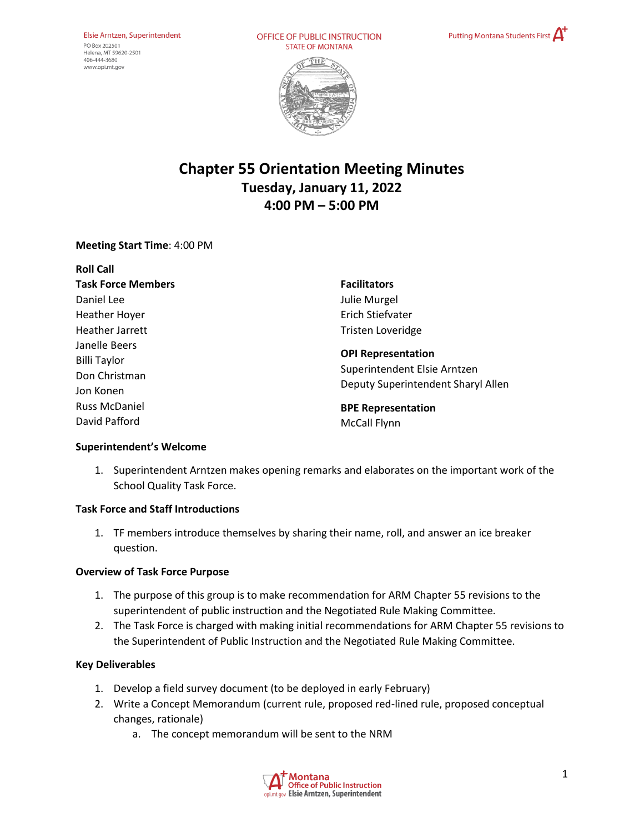OFFICE OF PUBLIC INSTRUCTION **STATE OF MONTANA** 





# **Chapter 55 Orientation Meeting Minutes Tuesday, January 11, 2022 4:00 PM – 5:00 PM**

### **Meeting Start Time**: 4:00 PM

| <b>Roll Call</b>                                                   |                                                                                                 |
|--------------------------------------------------------------------|-------------------------------------------------------------------------------------------------|
| <b>Task Force Members</b>                                          | <b>Facilitators</b>                                                                             |
| Daniel Lee                                                         | Julie Murgel                                                                                    |
| <b>Heather Hoyer</b>                                               | Erich Stiefvater                                                                                |
| Heather Jarrett                                                    | <b>Tristen Loveridge</b>                                                                        |
| Janelle Beers<br><b>Billi Taylor</b><br>Don Christman<br>Jon Konen | <b>OPI Representation</b><br>Superintendent Elsie Arntzen<br>Deputy Superintendent Sharyl Allen |
| <b>Russ McDaniel</b>                                               | <b>BPE Representation</b>                                                                       |
| David Pafford                                                      | <b>McCall Flynn</b>                                                                             |
|                                                                    |                                                                                                 |

#### **Superintendent's Welcome**

1. Superintendent Arntzen makes opening remarks and elaborates on the important work of the School Quality Task Force.

## **Task Force and Staff Introductions**

1. TF members introduce themselves by sharing their name, roll, and answer an ice breaker question.

#### **Overview of Task Force Purpose**

- 1. The purpose of this group is to make recommendation for ARM Chapter 55 revisions to the superintendent of public instruction and the Negotiated Rule Making Committee.
- 2. The Task Force is charged with making initial recommendations for ARM Chapter 55 revisions to the Superintendent of Public Instruction and the Negotiated Rule Making Committee.

#### **Key Deliverables**

- 1. Develop a field survey document (to be deployed in early February)
- 2. Write a Concept Memorandum (current rule, proposed red-lined rule, proposed conceptual changes, rationale)
	- a. The concept memorandum will be sent to the NRM

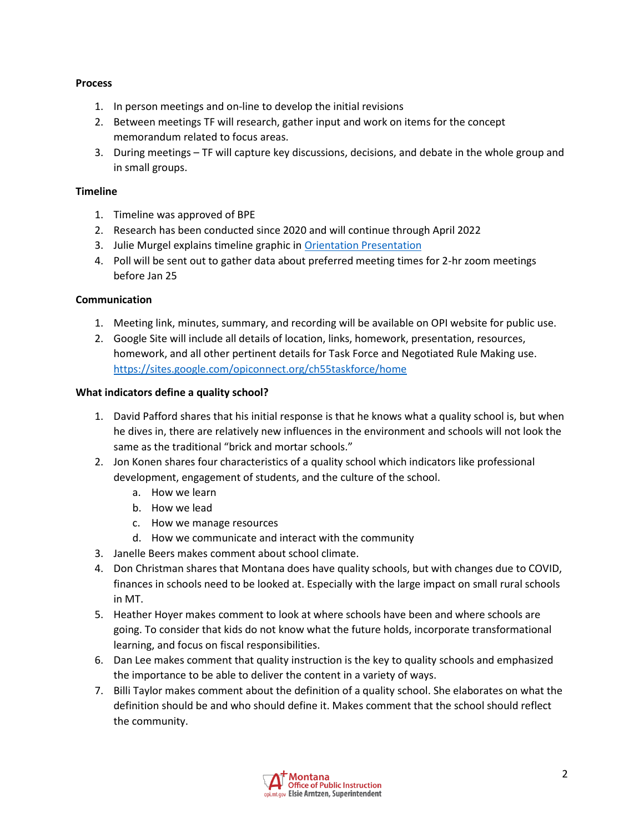#### **Process**

- 1. In person meetings and on-line to develop the initial revisions
- 2. Between meetings TF will research, gather input and work on items for the concept memorandum related to focus areas.
- 3. During meetings TF will capture key discussions, decisions, and debate in the whole group and in small groups.

### **Timeline**

- 1. Timeline was approved of BPE
- 2. Research has been conducted since 2020 and will continue through April 2022
- 3. Julie Murgel explains timeline graphic i[n Orientation Presentation](https://docs.google.com/presentation/d/1vn_QSnkfNPwFSriCojON9uCBSEDMDvkt/edit?usp=sharing&ouid=103980653118195900680&rtpof=true&sd=true)
- 4. Poll will be sent out to gather data about preferred meeting times for 2-hr zoom meetings before Jan 25

### **Communication**

- 1. Meeting link, minutes, summary, and recording will be available on OPI website for public use.
- 2. Google Site will include all details of location, links, homework, presentation, resources, homework, and all other pertinent details for Task Force and Negotiated Rule Making use. <https://sites.google.com/opiconnect.org/ch55taskforce/home>

#### **What indicators define a quality school?**

- 1. David Pafford shares that his initial response is that he knows what a quality school is, but when he dives in, there are relatively new influences in the environment and schools will not look the same as the traditional "brick and mortar schools."
- 2. Jon Konen shares four characteristics of a quality school which indicators like professional development, engagement of students, and the culture of the school.
	- a. How we learn
	- b. How we lead
	- c. How we manage resources
	- d. How we communicate and interact with the community
- 3. Janelle Beers makes comment about school climate.
- 4. Don Christman shares that Montana does have quality schools, but with changes due to COVID, finances in schools need to be looked at. Especially with the large impact on small rural schools in MT.
- 5. Heather Hoyer makes comment to look at where schools have been and where schools are going. To consider that kids do not know what the future holds, incorporate transformational learning, and focus on fiscal responsibilities.
- 6. Dan Lee makes comment that quality instruction is the key to quality schools and emphasized the importance to be able to deliver the content in a variety of ways.
- 7. Billi Taylor makes comment about the definition of a quality school. She elaborates on what the definition should be and who should define it. Makes comment that the school should reflect the community.